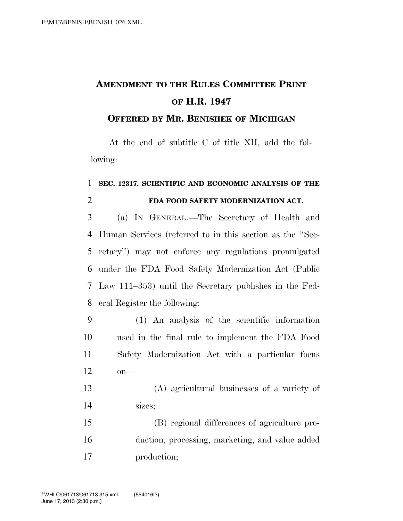## **AMENDMENT TO THE RULES COMMITTEE PRINT OF H.R. 1947**

## **OFFERED BY MR. BENISHEK OF MICHIGAN**

At the end of subtitle C of title XII, add the following:

## **SEC. 12317. SCIENTIFIC AND ECONOMIC ANALYSIS OF THE FDA FOOD SAFETY MODERNIZATION ACT.**

 (a) IN GENERAL.—The Secretary of Health and Human Services (referred to in this section as the ''Sec- retary'') may not enforce any regulations promulgated under the FDA Food Safety Modernization Act (Public Law 111–353) until the Secretary publishes in the Fed-eral Register the following:

- (1) An analysis of the scientific information used in the final rule to implement the FDA Food Safety Modernization Act with a particular focus  $12 \qquad \text{on}$ —
- (A) agricultural businesses of a variety of sizes;

 (B) regional differences of agriculture pro- duction, processing, marketing, and value added production;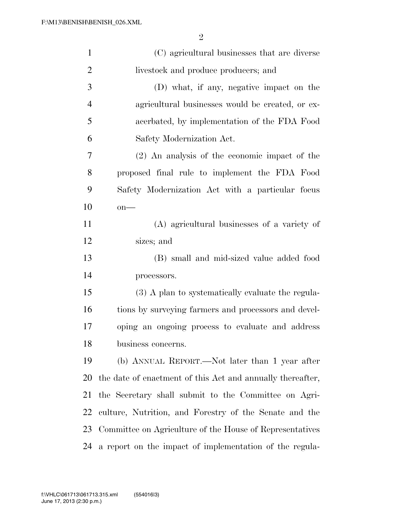| $\mathbf{1}$   | (C) agricultural businesses that are diverse               |
|----------------|------------------------------------------------------------|
| $\overline{2}$ | livestock and produce producers; and                       |
| 3              | (D) what, if any, negative impact on the                   |
| $\overline{4}$ | agricultural businesses would be created, or ex-           |
| 5              | acerbated, by implementation of the FDA Food               |
| 6              | Safety Modernization Act.                                  |
| 7              | $(2)$ An analysis of the economic impact of the            |
| 8              | proposed final rule to implement the FDA Food              |
| 9              | Safety Modernization Act with a particular focus           |
| 10             | $on$ —                                                     |
| 11             | (A) agricultural businesses of a variety of                |
| 12             | sizes; and                                                 |
| 13             | (B) small and mid-sized value added food                   |
| 14             | processors.                                                |
| 15             | (3) A plan to systematically evaluate the regula-          |
| 16             | tions by surveying farmers and processors and devel-       |
| 17             | oping an ongoing process to evaluate and address           |
| 18             | business concerns.                                         |
| 19             | (b) ANNUAL REPORT.—Not later than 1 year after             |
| 20             | the date of enactment of this Act and annually thereafter, |
| 21             | the Secretary shall submit to the Committee on Agri-       |
| 22             | culture, Nutrition, and Forestry of the Senate and the     |
| 23             | Committee on Agriculture of the House of Representatives   |
| 24             | a report on the impact of implementation of the regula-    |